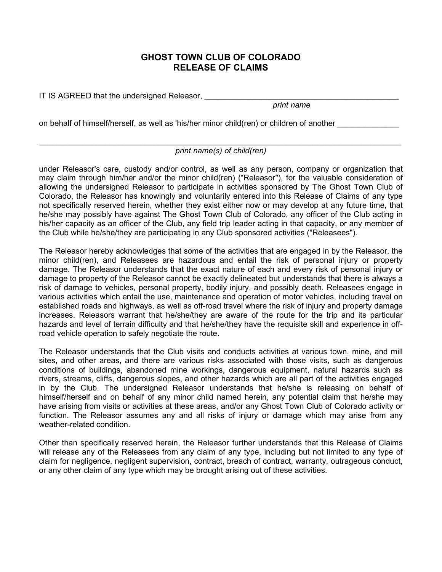## **GHOST TOWN CLUB OF COLORADO RELEASE OF CLAIMS**

IT IS AGREED that the undersigned Releasor,

*print name* 

on behalf of himself/herself, as well as 'his/her minor child(ren) or children of another

## $\_$  , and the contribution of the contribution of the contribution of the contribution of  $\mathcal{L}_\mathbf{z}$ *print name(s) of child(ren)*

under Releasor's care, custody and/or control, as well as any person, company or organization that may claim through him/her and/or the minor child(ren) ("Releasor"), for the valuable consideration of allowing the undersigned Releasor to participate in activities sponsored by The Ghost Town Club of Colorado, the Releasor has knowingly and voluntarily entered into this Release of Claims of any type not specifically reserved herein, whether they exist either now or may develop at any future time, that he/she may possibly have against The Ghost Town Club of Colorado, any officer of the Club acting in his/her capacity as an officer of the Club, any field trip leader acting in that capacity, or any member of the Club while he/she/they are participating in any Club sponsored activities ("Releasees").

The Releasor hereby acknowledges that some of the activities that are engaged in by the Releasor, the minor child(ren), and Releasees are hazardous and entail the risk of personal injury or property damage. The Releasor understands that the exact nature of each and every risk of personal injury or damage to property of the Releasor cannot be exactly delineated but understands that there is always a risk of damage to vehicles, personal property, bodily injury, and possibly death. Releasees engage in various activities which entail the use, maintenance and operation of motor vehicles, including travel on established roads and highways, as well as off-road travel where the risk of injury and property damage increases. Releasors warrant that he/she/they are aware of the route for the trip and its particular hazards and level of terrain difficulty and that he/she/they have the requisite skill and experience in offroad vehicle operation to safely negotiate the route.

The Releasor understands that the Club visits and conducts activities at various town, mine, and mill sites, and other areas, and there are various risks associated with those visits, such as dangerous conditions of buildings, abandoned mine workings, dangerous equipment, natural hazards such as rivers, streams, cliffs, dangerous slopes, and other hazards which are all part of the activities engaged in by the Club. The undersigned Releasor understands that he/she is releasing on behalf of himself/herself and on behalf of any minor child named herein, any potential claim that he/she may have arising from visits or activities at these areas, and/or any Ghost Town Club of Colorado activity or function. The Releasor assumes any and all risks of injury or damage which may arise from any weather-related condition.

Other than specifically reserved herein, the Releasor further understands that this Release of Claims will release any of the Releasees from any claim of any type, including but not limited to any type of claim for negligence, negligent supervision, contract, breach of contract, warranty, outrageous conduct, or any other claim of any type which may be brought arising out of these activities.